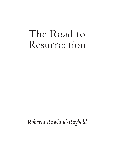# The Road to Resurrection

*Roberta Rowland-Raybold*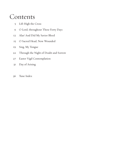### Contents

- 5 Lift High the Cross
- 9 O Lord, throughout These Forty Days
- 12 Alas! And Did My Savior Bleed
- 15 O Sacred Head, Now Wounded
- 19 Sing, My Tongue
- 22 Through the Night of Doubt and Sorrow
- 27 Easter Vigil Contemplation
- 31 Day of Arising
- 36 Tune Index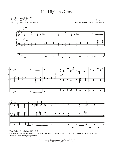#### Lift High the Cross

Sw: Diapasons, Mixt. IV

- Gt: Diapason 8', Oboe 8'
- Ped: Diapasons 16', 8'; Sw/Ped. 8'

**CRUCIFER** setting, Roberta Rowland-Raybold







Tune: Sydney H. Nicholson, 1875–1947 Copyright © 1974 and this setting © 2020 Hope Publishing Co., Carol Stream, IL, 60188. All rights reserved. Published under exclusive license by Augsburg Fortress.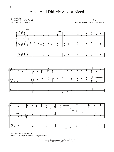#### Alas! And Did My Savior Bleed

Sw: Soft Strings

Gt: Soft Principals; Sw/Gt.

Ped: Soft 16', 8'; Sw/Ped.

Martyrdom setting, Roberta Rowland-Raybold



Tune: Hugh Wilson, 1764–1824 Setting © 2020 Augsburg Fortress. All rights reserved.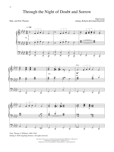**EBENEZER** Man. and Ped: Plenum setting, Roberta Rowland-Raybold







 $\overline{\phantom{a}}$ 

 $\overline{\phantom{a}}$ 

 $\overline{\phantom{a}}$ 

 $\overline{\phantom{a}}$ 

Tune: Thomas J. Williams, 1869–1944 Setting © 2020 Augsburg Fortress. All rights reserved.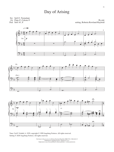#### Day of Arising

Sw: Gt: Ped: Soft 8', Tremulant Flute 8', Celeste 8' Soft 16', 8'

**RAABE** setting, Roberta Rowland-Raybold



Tune: Carl F. Schalk, b. 1929; copyright © 1999 Augsburg Fortress. All rights reserved. Setting © 2020 Augsburg Fortress. All rights reserved.